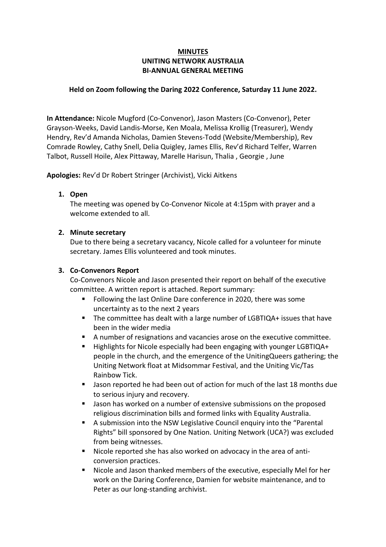# **MINUTES UNITING NETWORK AUSTRALIA BI-ANNUAL GENERAL MEETING**

## **Held on Zoom following the Daring 2022 Conference, Saturday 11 June 2022.**

**In Attendance:** Nicole Mugford (Co-Convenor), Jason Masters (Co-Convenor), Peter Grayson-Weeks, David Landis-Morse, Ken Moala, Melissa Krollig (Treasurer), Wendy Hendry, Rev'd Amanda Nicholas, Damien Stevens-Todd (Website/Membership), Rev Comrade Rowley, Cathy Snell, Delia Quigley, James Ellis, Rev'd Richard Telfer, Warren Talbot, Russell Hoile, Alex Pittaway, Marelle Harisun, Thalia , Georgie , June

**Apologies:** Rev'd Dr Robert Stringer (Archivist), Vicki Aitkens

## **1. Open**

The meeting was opened by Co-Convenor Nicole at 4:15pm with prayer and a welcome extended to all.

## **2. Minute secretary**

Due to there being a secretary vacancy, Nicole called for a volunteer for minute secretary. James Ellis volunteered and took minutes.

## **3. Co-Convenors Report**

Co-Convenors Nicole and Jason presented their report on behalf of the executive committee. A written report is attached. Report summary:

- Following the last Online Dare conference in 2020, there was some uncertainty as to the next 2 years
- The committee has dealt with a large number of LGBTIQA+ issues that have been in the wider media
- A number of resignations and vacancies arose on the executive committee.
- Highlights for Nicole especially had been engaging with younger LGBTIQA+ people in the church, and the emergence of the UnitingQueers gathering; the Uniting Network float at Midsommar Festival, and the Uniting Vic/Tas Rainbow Tick.
- Jason reported he had been out of action for much of the last 18 months due to serious injury and recovery.
- **Jason has worked on a number of extensive submissions on the proposed** religious discrimination bills and formed links with Equality Australia.
- A submission into the NSW Legislative Council enquiry into the "Parental Rights" bill sponsored by One Nation. Uniting Network (UCA?) was excluded from being witnesses.
- Nicole reported she has also worked on advocacy in the area of anticonversion practices.
- Nicole and Jason thanked members of the executive, especially Mel for her work on the Daring Conference, Damien for website maintenance, and to Peter as our long-standing archivist.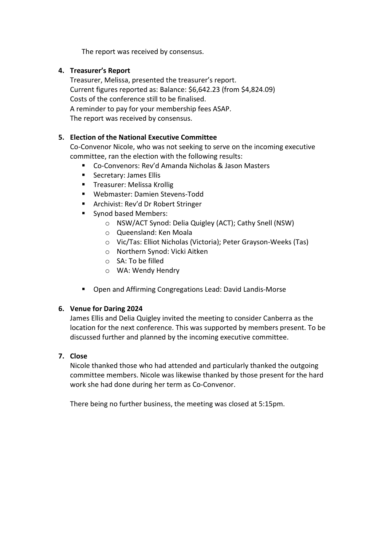The report was received by consensus.

# **4. Treasurer's Report**

Treasurer, Melissa, presented the treasurer's report. Current figures reported as: Balance: \$6,642.23 (from \$4,824.09) Costs of the conference still to be finalised. A reminder to pay for your membership fees ASAP. The report was received by consensus.

# **5. Election of the National Executive Committee**

Co-Convenor Nicole, who was not seeking to serve on the incoming executive committee, ran the election with the following results:

- Co-Convenors: Rev'd Amanda Nicholas & Jason Masters
- **Secretary: James Ellis**
- **Treasurer: Melissa Krollig**
- Webmaster: Damien Stevens-Todd
- **Archivist: Rev'd Dr Robert Stringer**
- Synod based Members:
	- o NSW/ACT Synod: Delia Quigley (ACT); Cathy Snell (NSW)
	- o Queensland: Ken Moala
	- o Vic/Tas: Elliot Nicholas (Victoria); Peter Grayson-Weeks (Tas)
	- o Northern Synod: Vicki Aitken
	- o SA: To be filled
	- o WA: Wendy Hendry
- Open and Affirming Congregations Lead: David Landis-Morse

#### **6. Venue for Daring 2024**

James Ellis and Delia Quigley invited the meeting to consider Canberra as the location for the next conference. This was supported by members present. To be discussed further and planned by the incoming executive committee.

# **7. Close**

Nicole thanked those who had attended and particularly thanked the outgoing committee members. Nicole was likewise thanked by those present for the hard work she had done during her term as Co-Convenor.

There being no further business, the meeting was closed at 5:15pm.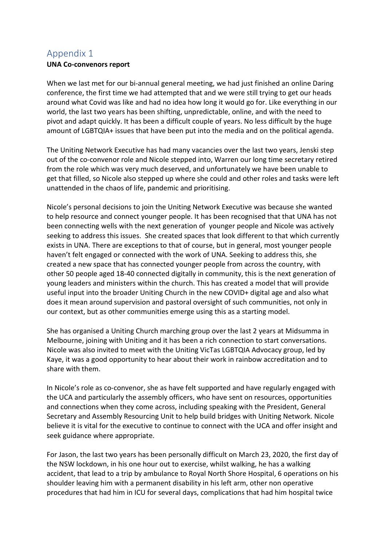# Appendix 1

## **UNA Co-convenors report**

When we last met for our bi-annual general meeting, we had just finished an online Daring conference, the first time we had attempted that and we were still trying to get our heads around what Covid was like and had no idea how long it would go for. Like everything in our world, the last two years has been shifting, unpredictable, online, and with the need to pivot and adapt quickly. It has been a difficult couple of years. No less difficult by the huge amount of LGBTQIA+ issues that have been put into the media and on the political agenda.

The Uniting Network Executive has had many vacancies over the last two years, Jenski step out of the co-convenor role and Nicole stepped into, Warren our long time secretary retired from the role which was very much deserved, and unfortunately we have been unable to get that filled, so Nicole also stepped up where she could and other roles and tasks were left unattended in the chaos of life, pandemic and prioritising.

Nicole's personal decisions to join the Uniting Network Executive was because she wanted to help resource and connect younger people. It has been recognised that that UNA has not been connecting wells with the next generation of younger people and Nicole was actively seeking to address this issues. She created spaces that look different to that which currently exists in UNA. There are exceptions to that of course, but in general, most younger people haven't felt engaged or connected with the work of UNA. Seeking to address this, she created a new space that has connected younger people from across the country, with other 50 people aged 18-40 connected digitally in community, this is the next generation of young leaders and ministers within the church. This has created a model that will provide useful input into the broader Uniting Church in the new COVID+ digital age and also what does it mean around supervision and pastoral oversight of such communities, not only in our context, but as other communities emerge using this as a starting model.

She has organised a Uniting Church marching group over the last 2 years at Midsumma in Melbourne, joining with Uniting and it has been a rich connection to start conversations. Nicole was also invited to meet with the Uniting VicTas LGBTQIA Advocacy group, led by Kaye, it was a good opportunity to hear about their work in rainbow accreditation and to share with them.

In Nicole's role as co-convenor, she as have felt supported and have regularly engaged with the UCA and particularly the assembly officers, who have sent on resources, opportunities and connections when they come across, including speaking with the President, General Secretary and Assembly Resourcing Unit to help build bridges with Uniting Network. Nicole believe it is vital for the executive to continue to connect with the UCA and offer insight and seek guidance where appropriate.

For Jason, the last two years has been personally difficult on March 23, 2020, the first day of the NSW lockdown, in his one hour out to exercise, whilst walking, he has a walking accident, that lead to a trip by ambulance to Royal North Shore Hospital, 6 operations on his shoulder leaving him with a permanent disability in his left arm, other non operative procedures that had him in ICU for several days, complications that had him hospital twice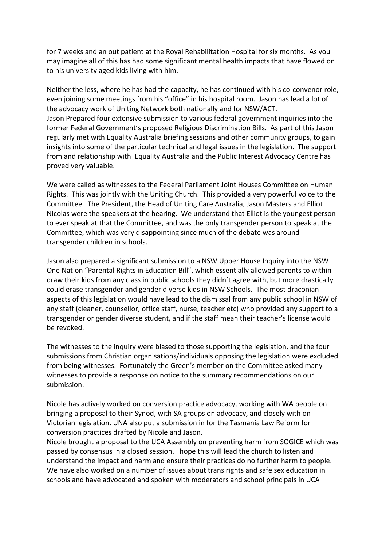for 7 weeks and an out patient at the Royal Rehabilitation Hospital for six months. As you may imagine all of this has had some significant mental health impacts that have flowed on to his university aged kids living with him.

Neither the less, where he has had the capacity, he has continued with his co-convenor role, even joining some meetings from his "office" in his hospital room. Jason has lead a lot of the advocacy work of Uniting Network both nationally and for NSW/ACT. Jason Prepared four extensive submission to various federal government inquiries into the former Federal Government's proposed Religious Discrimination Bills. As part of this Jason regularly met with Equality Australia briefing sessions and other community groups, to gain insights into some of the particular technical and legal issues in the legislation. The support from and relationship with Equality Australia and the Public Interest Advocacy Centre has proved very valuable.

We were called as witnesses to the Federal Parliament Joint Houses Committee on Human Rights. This was jointly with the Uniting Church. This provided a very powerful voice to the Committee. The President, the Head of Uniting Care Australia, Jason Masters and Elliot Nicolas were the speakers at the hearing. We understand that Elliot is the youngest person to ever speak at that the Committee, and was the only transgender person to speak at the Committee, which was very disappointing since much of the debate was around transgender children in schools.

Jason also prepared a significant submission to a NSW Upper House Inquiry into the NSW One Nation "Parental Rights in Education Bill", which essentially allowed parents to within draw their kids from any class in public schools they didn't agree with, but more drastically could erase transgender and gender diverse kids in NSW Schools. The most draconian aspects of this legislation would have lead to the dismissal from any public school in NSW of any staff (cleaner, counsellor, office staff, nurse, teacher etc) who provided any support to a transgender or gender diverse student, and if the staff mean their teacher's license would be revoked.

The witnesses to the inquiry were biased to those supporting the legislation, and the four submissions from Christian organisations/individuals opposing the legislation were excluded from being witnesses. Fortunately the Green's member on the Committee asked many witnesses to provide a response on notice to the summary recommendations on our submission.

Nicole has actively worked on conversion practice advocacy, working with WA people on bringing a proposal to their Synod, with SA groups on advocacy, and closely with on Victorian legislation. UNA also put a submission in for the Tasmania Law Reform for conversion practices drafted by Nicole and Jason.

Nicole brought a proposal to the UCA Assembly on preventing harm from SOGICE which was passed by consensus in a closed session. I hope this will lead the church to listen and understand the impact and harm and ensure their practices do no further harm to people. We have also worked on a number of issues about trans rights and safe sex education in schools and have advocated and spoken with moderators and school principals in UCA